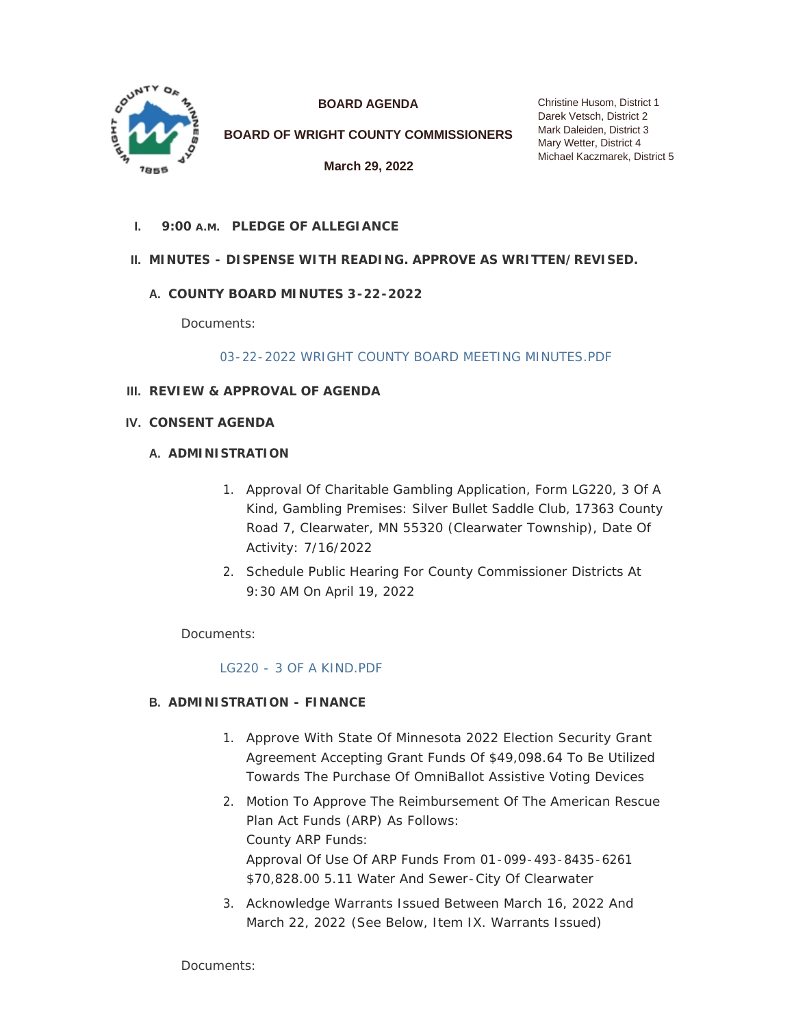

**BOARD AGENDA**

**BOARD OF WRIGHT COUNTY COMMISSIONERS**

**March 29, 2022**

Christine Husom, District 1 Darek Vetsch, District 2 Mark Daleiden, District 3 Mary Wetter, District 4 Michael Kaczmarek, District 5

**PLEDGE OF ALLEGIANCE I. 9:00 A.M.**

# **MINUTES - DISPENSE WITH READING. APPROVE AS WRITTEN/REVISED. II.**

## **COUNTY BOARD MINUTES 3-22-2022 A.**

Documents:

[03-22-2022 WRIGHT COUNTY BOARD MEETING MINUTES.PDF](https://www.co.wright.mn.us/AgendaCenter/ViewFile/Item/10495?fileID=22859)

- **REVIEW & APPROVAL OF AGENDA III.**
- **CONSENT AGENDA IV.**

### **A. ADMINISTRATION**

- 1. Approval Of Charitable Gambling Application, Form LG220, 3 Of A Kind, Gambling Premises: Silver Bullet Saddle Club, 17363 County Road 7, Clearwater, MN 55320 (Clearwater Township), Date Of Activity: 7/16/2022
- 2. Schedule Public Hearing For County Commissioner Districts At 9:30 AM On April 19, 2022

Documents:

#### [LG220 - 3 OF A KIND.PDF](https://www.co.wright.mn.us/AgendaCenter/ViewFile/Item/10488?fileID=22839)

## **ADMINISTRATION - FINANCE B.**

- 1. Approve With State Of Minnesota 2022 Election Security Grant Agreement Accepting Grant Funds Of \$49,098.64 To Be Utilized Towards The Purchase Of OmniBallot Assistive Voting Devices
- 2. Motion To Approve The Reimbursement Of The American Rescue Plan Act Funds (ARP) As Follows: County ARP Funds: Approval Of Use Of ARP Funds From 01-099-493-8435-6261 \$70,828.00 5.11 Water And Sewer-City Of Clearwater
- 3. Acknowledge Warrants Issued Between March 16, 2022 And March 22, 2022 *(See Below, Item IX. Warrants Issued)*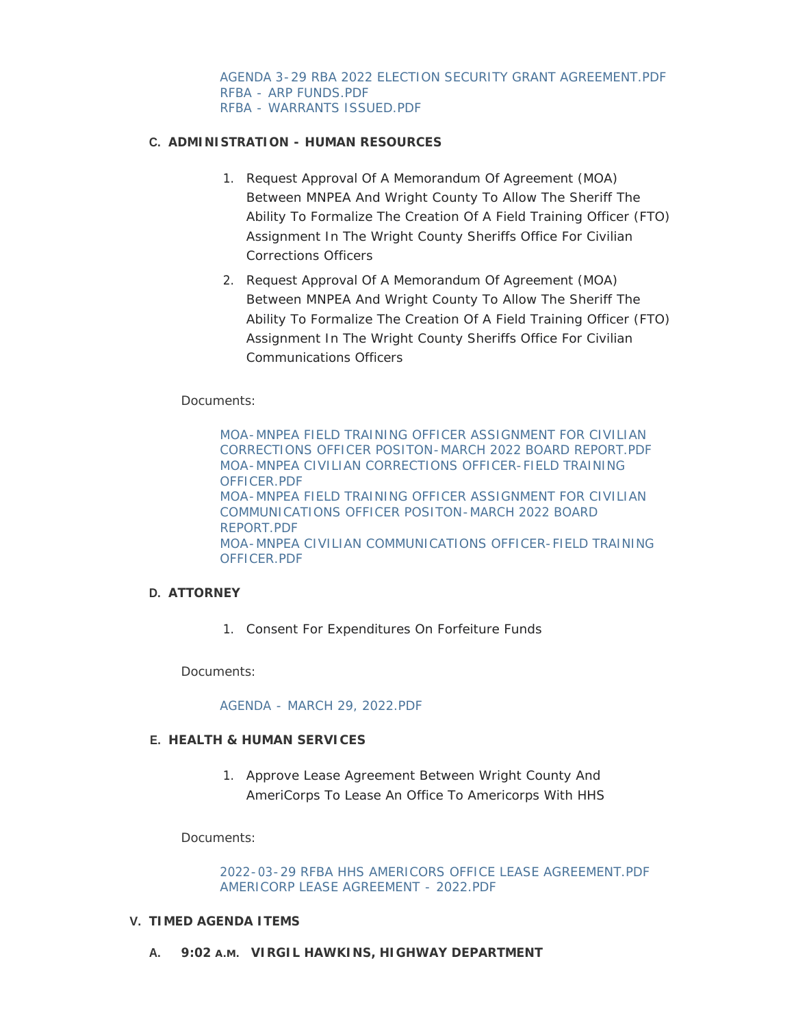## **ADMINISTRATION - HUMAN RESOURCES C.**

- 1. Request Approval Of A Memorandum Of Agreement (MOA) Between MNPEA And Wright County To Allow The Sheriff The Ability To Formalize The Creation Of A Field Training Officer (FTO) Assignment In The Wright County Sheriffs Office For Civilian Corrections Officers
- 2. Request Approval Of A Memorandum Of Agreement (MOA) Between MNPEA And Wright County To Allow The Sheriff The Ability To Formalize The Creation Of A Field Training Officer (FTO) Assignment In The Wright County Sheriffs Office For Civilian Communications Officers

### Documents:

[MOA-MNPEA FIELD TRAINING OFFICER ASSIGNMENT FOR CIVILIAN](https://www.co.wright.mn.us/AgendaCenter/ViewFile/Item/10489?fileID=22840)  CORRECTIONS OFFICER POSITON-MARCH 2022 BOARD REPORT.PDF [MOA-MNPEA CIVILIAN CORRECTIONS OFFICER-FIELD TRAINING](https://www.co.wright.mn.us/AgendaCenter/ViewFile/Item/10489?fileID=22841)  OFFICER.PDF [MOA-MNPEA FIELD TRAINING OFFICER ASSIGNMENT FOR CIVILIAN](https://www.co.wright.mn.us/AgendaCenter/ViewFile/Item/10489?fileID=22842)  COMMUNICATIONS OFFICER POSITON-MARCH 2022 BOARD REPORT.PDF [MOA-MNPEA CIVILIAN COMMUNICATIONS OFFICER-FIELD TRAINING](https://www.co.wright.mn.us/AgendaCenter/ViewFile/Item/10489?fileID=22843)  OFFICER.PDF

#### **ATTORNEY D.**

1. Consent For Expenditures On Forfeiture Funds

Documents:

#### [AGENDA - MARCH 29, 2022.PDF](https://www.co.wright.mn.us/AgendaCenter/ViewFile/Item/10494?fileID=22846)

#### **HEALTH & HUMAN SERVICES E.**

1. Approve Lease Agreement Between Wright County And AmeriCorps To Lease An Office To Americorps With HHS

Documents:

[2022-03-29 RFBA HHS AMERICORS OFFICE LEASE AGREEMENT.PDF](https://www.co.wright.mn.us/AgendaCenter/ViewFile/Item/10500?fileID=22855) [AMERICORP LEASE AGREEMENT - 2022.PDF](https://www.co.wright.mn.us/AgendaCenter/ViewFile/Item/10500?fileID=22860)

#### **TIMED AGENDA ITEMS V.**

**VIRGIL HAWKINS, HIGHWAY DEPARTMENT A. 9:02 A.M.**